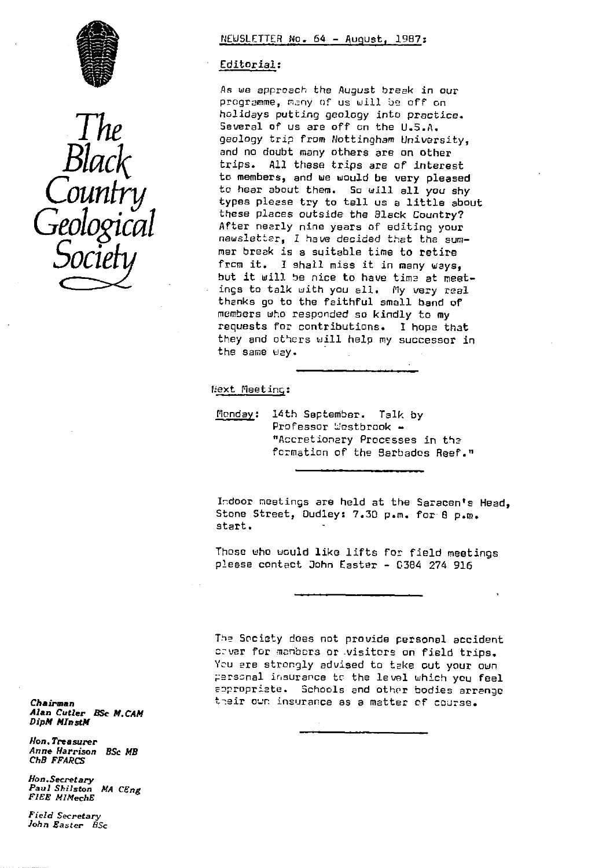



# NEWSLETTER No. 64 - August. 1987:

### Editorial :

As we approach the August break in our programme, many of us will be off on holidays putting geology into practice. Several of us are off on the U.S.A. geology trip from Nottingham University, and no doubt many others are on other trips. Al). these trips are of interest to members, and we would be very pleased to hear about them. So will all you shy types please try to tell us a little about these places outside the Slack Country? After nearly nine years of editing your newsletter, 1 have decided that the summer break is a suitable time to retire from it. I shall miss it in many ways, but it will be nice to have time at meetings to talk with you all. My very real thanks go to the faithful small band of members who responded so kindly to my requests for contributions. I hope that they and others will help my successor in the same uay.

### Next Meeting:

Monday: 14th September. Talk by Professor Westbrook ccretionary Processes in the formation of the Barbados Reef."

Indoor meetings are held at the Saracen's Head, Stone Street, Dudley: 7.30 p.m. for 8 p.m. start.

Those who uculd like lifts for field meetings please contact John Easter » 0364 274 916

The Society does not provide personal accident caver for manbers or .visitors on field trips. You are strongly advised to take out your own personal insurance to the level which you feel appropriate. Schools and other bodies arrange t-eir our insurance as a matter of course.

*Ch* airman *Alan* Cutler *<sup>B</sup> y e M. CAM DipM MInstM*

Hon. Treasurer Anne Harrison BSc MB ChB FFARCS

lion *.Secretary* Paul Shilston *MA CEng* FIEE MlMechE

Field Secretary John Easter BSc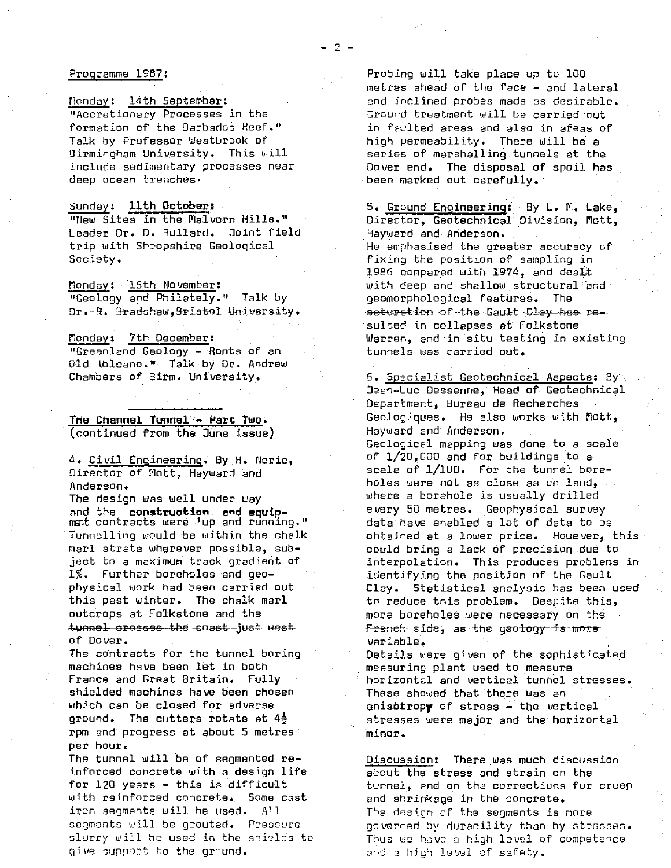#### Programme 1987 :

Monday: 14th September : "Accretionary Processes in the formation of the Barbados Reef." Talk by Professor Westbrook of 9irmingham University. This will include sedimentary processes near deep ocean trenches.

Sunday : 11th **Octobers** "New Sites in the Malvern Hills." Leader Or. D. 5ullard. Joint field trip with Shropshire Geological Society.

Monday: 16th November: "Geology and Philately." Talk by Dr.-R. 3radshaw, Sristol University.

Monday: 7th December: "Greenland Geology - Roots of an Old Ublcano." Talk by Dr. Andrew Chambers of 9irm. University.

The **Channel Tunnel.** \_ **Pert Two .** (continued from the June issue)

4. Civil Engineering. By H. Norie, Director of Mott, Hayward and Anderson.

The design was well under way and the **construction and equip** mant contracts were. up and running." Tunnelling would be within the chalk marl strata wherever possible, subject to a maximum track gradient of 1%. Further boreholes and geophysical work had been carried out this past winter. The chalk marl outcrops at Folkstone and the tunnel crosses the coast-just west of Dover.

The contracts for the tunnel boring machines have been let in both France and Great Britain. Fully shielded machines have been chosen which can be closed for adverse ground. The cutters rotate at  $4\frac{1}{2}$ rpm and progress at about 5 metres per hour.

The tunnel will be of segmented reinforced concrete with a design life. for 120 years - this is difficult with reinforced concrete.. Some cast iron segments will be used. All segments will be grouted. Pressure slurry will be used in the shields to give support to the ground.

Probing will take place up to 100 metres ahead of the face - and lateral and inclined probes made as desirable. Ground treatment will be carried out in faulted areas and also in areas of high permeability. There will be a series of marshalling tunnels at the Dover end. The disposal of spoil has. been marked out carefully.

5. Ground Engineering : By L. M. Lake, Director, Geotechnical Division, Mott, Hayward and Anderson. He emphasised the greater accuracy of fixing the position of sampling in 1986 compared with 1974, and dealt with deep and shallow structural `and geomorphological features. The saturation of the Gault Cl<del>ay has</del> resulted in collapses at Folkstone Warren, and in situ testing in existing tunnels was carried out.

6. Specialist Geotechnicel Aspects: By . Peon-Luc Dessenne, Head of Gectechnical Department, Bureau de Recherches Geologiques. He also works with Nott,. Hayward and Anderson. Geological mapping was done to a scale of.1/20,000 and for buildings to a scale of 1/100. For the tunnel boreholes were not as close as on land, where a borehole is usually drilled every 50 metres. Geophysical survey data have enabled a lot of data to be obtained at a lower price. However, this could bring a lack of precision due to interpolation. This produces problems in identifying the position of the Gault Clay. Statistical analysis has been used to reduce this problem. Despite this, more boreholes were necessary on the french side, as the geology is more variable.

Details were given of the sophisticated measuring plant used to measure horizontal and vertical tunnel stresses. These showed that there was an ahisbtropy of stress - the vertical stresses were major and the horizontal minor.

Discussion: There was much discussion about the stress and strain on the tunnel, and on the corrections for creer and shrinkage in the concrete. The design of the segments is more governed by durability than by stresses. Thus we have a high level of competence a-d a high *level of safety.*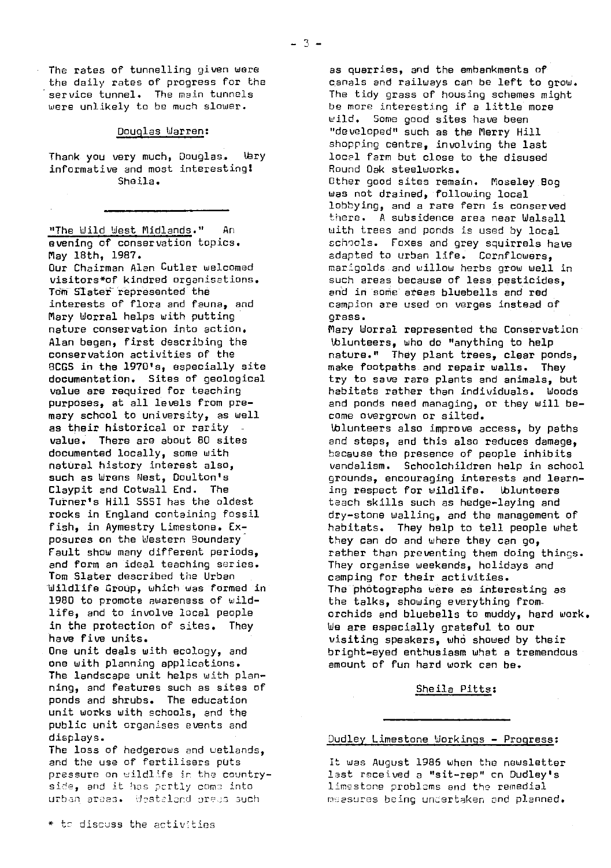The rates of tunnelling given were the daily rates of progress for the service tunnel. The main tunnels were unlikely to be much slower.

#### Douglas Warren:

Thank you very much, Douglas. Vary informative and most interesting) Sheila.

"The Wild West Midlands." An evening of conservation topics. May 18th, 1987. Our Chairman Alan Cutler welcomed visitors\*of kindred organisations. Tom Slater represented the interests of flora and fauna, and Mary Worral helps with putting nature conservation into action. Alan began, first describing the conservation activities of the 9CGS in the 1970's, especially site documentation. Sites of geological value are required for teaching purposes, at all levels from premary school to university, as well as their historical or rarity value. There are about 60 sites documented locally, some with natural history interest also, such as Wrens Nest, Doulton's Claypit and Cotwall End. The Turner's Hill 5551 has the oldest rocks in England containing fossil fish, in Aymestry Limestone. Exposures on the Western Boundary Fault show many different periods, and form an ideal teaching series. Tom Slater described the Urban -Wildlife Group, which was formed in 1980 to promote awareness of wildlife, and to involve local people in the protection of sites. They have five units. One unit deals with ecology, and

one with planning applications. The landscape unit helps with planning, and features such as sites of ponds and shrubs. The education unit works with schools, and the public unit organises events and displays.

The loss of hedgerows and wetlands, and the use of fertilisers puts pressure on wildlife in the countryside, and it has partly come into urban araas. Westaland oress such

 $*$  to discuss the activities

as quarries, and the embankments of canals and railways can be left to grow. The tidy grass of housing schemes might be more interesting if a little more wild. Some good sites have been "developed" such as the Merry Hill shopping centre, involving the last local farm but close to the disused Round Oak steelworks. Other good sites remain. Moseley Bog was not drained, following local lobbying, and a rare fern is conserved there. A subsidence area near Walsall with trees and ponds is used by local schools. Foxes and grey squirrels have adapted to urban life. Cornflowers, marigolds and willow herbs grow well in such areas because of less pesticides, and in some areas bluebells and red campion are used on verges instead of grass. Mary Worral represented the Conservation Wiunteers, who do "anything to help nature." They plant trees, clear ponds, make footpaths and repair walls. They try to save rare plants and animals, but habitats rather than individuals. Woods and ponds need managing, or they will become overgrown or silted. Volunteers also improve access, by paths and steps, and this also reduces damage, because the presence of people inhibits vandalism. Schoolchildren help in school grounds, encouraging interests and learning respect for wildlife. Wolunteers teach skills such as hedge-laying and dry-stone walling, and the management of habitats. They help to tell people whet they can do and where they can go, rather than preventing them doing things. They organise weekends, holidays and camping for their activities. The "photographs were as interesting as the talks, showing everything from.. orchids and bluebells to muddy, hard work. We are especially grateful to our visiting speakers, who showed by their bright-eyed enthusiasm what a tremendous amount of fun hard work can be.

#### Sheila Pitts :

### Dudley Limestone Workings - Progress :

It was August 1985 when the newsletter last received a "sit-rep" en Dudley's limestone problems and the remedial measures being undertaken and planned.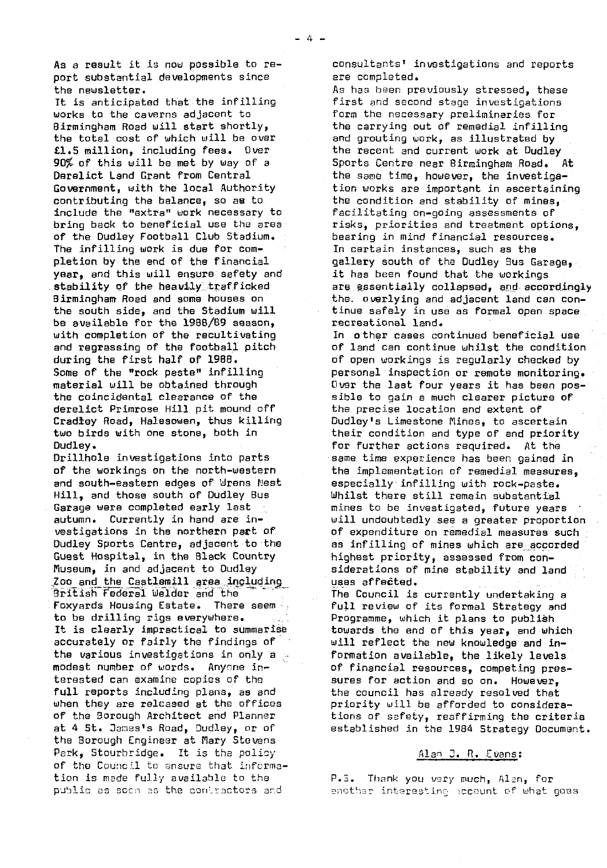As a result it is now possible to report substantial developments since the newsletter.

It is anticipated that the infilling works to the caverns adjacent to Birmingham Road will start shortly, the total cost of which will *be over* £1.5 million, including fees. Over 90% of this will be met by way of a Derelict Land Grant from Central Government, with the local Authority contributing the balance, so as to include the "extra" work necessary to bring back to beneficial use the area of the Dudley Football Club Stadium. The infilling work is due for completion by the end of the financial year, and this will ensure safety and stability of the heavily trafficked Birmingham Road and some houses on the south side, and the Stadium will be available for the 1988/89 season, with completion of the recultivating and regressing of the football pitch during the first half of 1988. Some of the "rook paste" infilling material will be obtained through the coincidental clearance of the derelict Primrose Hill pit mound off Cradley Road, Halesowen, thus killing two birds with one stone, both in Dudley.

Drillhole investigations into parts of the workings on the north- western and south-eastern edges of Wrens Nest Hill, and those south of Dudley Bus Garage were completed early last autumn. Currently in hand are investigations in the northern pact of Dudley Sports Centre, adjacent to the Guest Hospital, in the Black Country Piuseum, in and adjacent to Dudley Zoo and the Castlemill area including British Federal Welder **and** the Foxyards Housing Estate. to be drilling rigs everywhere. It is clearly impractical to summarise accurately or fairly the findings of the various investigations in only a modest number of words. Anyone interested can examine copies of the full reports including plans, as and when they are released at the offices of the Borough Architect and Planner at 4 St. James's Road, Dudley, or of the Borough Engineer at Mary Stevens Park, Stourbridge. It is the policy of the Council to ensure that infcrmation is made fully available to the public as soon as the contractors and

consultants' investigations and reports are completed.

As has been previously stressed, these first and second stage investigations form the necessary preliminaries for the carrying out of remedial infilling and grouting work, as illustrated by the recent and current work at Dudley Sports Centre near Birmingham Road. At the same time, however, the investigation works are important in ascertaining the condition and stability of mines, facilitating on-going assessments of risks, priorities and treatment options, bearing in mind financial resources. In certain instances, such as the gallery south of the Dudley Bus Garage, it has been found that the workings are essentially collapsed, **and,accprd.ingly** the. overlying and adjacent land can continue safely in use as formal open space recreational land.

In other cases continued beneficial use of land can continue whilst the condition of open workings is regularly checked by personal inspection or remote monitoring. Over the last four years it has been possible to gain a much clearer picture of the precise location and extent of Dudley's Limestone Mines, to ascertain their condition and type of and priority for further actions required. At the same time experience has been gained in the implementation of remedial measures, especially infilling with rock-paste. Whilst there still remain substantial mines to be investigated, future years will undoubtedly see a greater proportion of expenditure on remedial measures such as infilling of mines which are accorded highest priority, assessed from considerations of mine stability and land uses affected.

The Council is currently undertaking a full review of its formal Strategy and Programme, which it plans to publish towards the and of this year, and which will reflect the new knowledge and information available, the likely levels of financial resources, competing pressures for action and so on. However, the council has already resolved that priority will be afforded to considerations of safety, reaffirming the criteria established in the 1984 Strategy Document.

#### Alan J. R. Evans:

P.S. Thank you very much, Alen, for enother interesting pocount of what goes